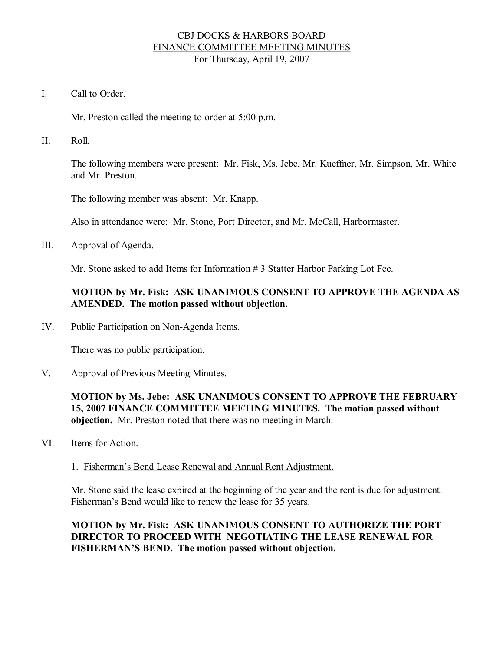## CBJ DOCKS & HARBORS BOARD FINANCE COMMITTEE MEETING MINUTES For Thursday, April 19, 2007

I. Call to Order

Mr. Preston called the meeting to order at 5:00 p.m.

II. Roll.

The following members were present: Mr. Fisk, Ms. Jebe, Mr. Kueffner, Mr. Simpson, Mr. White and Mr. Preston.

The following member was absent: Mr. Knapp.

Also in attendance were: Mr. Stone, Port Director, and Mr. McCall, Harbormaster.

III. Approval of Agenda.

Mr. Stone asked to add Items for Information # 3 Statter Harbor Parking Lot Fee.

# **MOTION by Mr. Fisk: ASK UNANIMOUS CONSENT TO APPROVE THE AGENDA AS AMENDED. The motion passed without objection.**

IV. Public Participation on Non-Agenda Items.

There was no public participation.

V. Approval of Previous Meeting Minutes.

**MOTION by Ms. Jebe: ASK UNANIMOUS CONSENT TO APPROVE THE FEBRUARY 15, 2007 FINANCE COMMITTEE MEETING MINUTES. The motion passed without objection.** Mr. Preston noted that there was no meeting in March.

- VI. Items for Action.
	- 1. Fisherman's Bend Lease Renewal and Annual Rent Adjustment.

Mr. Stone said the lease expired at the beginning of the year and the rent is due for adjustment. Fisherman's Bend would like to renew the lease for 35 years.

**MOTION by Mr. Fisk: ASK UNANIMOUS CONSENT TO AUTHORIZE THE PORT DIRECTOR TO PROCEED WITH NEGOTIATING THE LEASE RENEWAL FOR FISHERMAN'S BEND. The motion passed without objection.**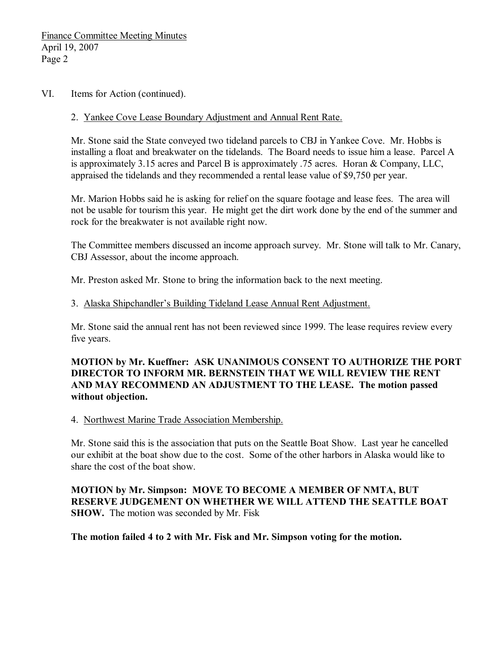#### VI. Items for Action (continued).

#### 2. Yankee Cove Lease Boundary Adjustment and Annual Rent Rate.

Mr. Stone said the State conveyed two tideland parcels to CBJ in Yankee Cove. Mr. Hobbs is installing a float and breakwater on the tidelands. The Board needs to issue him a lease. Parcel A is approximately 3.15 acres and Parcel B is approximately .75 acres. Horan & Company, LLC, appraised the tidelands and they recommended a rental lease value of \$9,750 per year.

Mr. Marion Hobbs said he is asking for relief on the square footage and lease fees. The area will not be usable for tourism this year. He might get the dirt work done by the end of the summer and rock for the breakwater is not available right now.

The Committee members discussed an income approach survey. Mr. Stone will talk to Mr. Canary, CBJ Assessor, about the income approach.

Mr. Preston asked Mr. Stone to bring the information back to the next meeting.

#### 3. Alaska Shipchandler's Building Tideland Lease Annual Rent Adjustment.

Mr. Stone said the annual rent has not been reviewed since 1999. The lease requires review every five years.

## **MOTION by Mr. Kueffner: ASK UNANIMOUS CONSENT TO AUTHORIZE THE PORT DIRECTOR TO INFORM MR.BERNSTEIN THAT WE WILL REVIEW THE RENT AND MAY RECOMMEND AN ADJUSTMENT TO THE LEASE. The motion passed without objection.**

#### 4. Northwest Marine Trade Association Membership.

Mr. Stone said this is the association that puts on the Seattle Boat Show. Last year he cancelled our exhibit at the boat show due to the cost. Some of the other harbors in Alaska would like to share the cost of the boat show.

**MOTION by Mr. Simpson: MOVE TO BECOME A MEMBER OF NMTA, BUT RESERVE JUDGEMENT ON WHETHER WE WILL ATTEND THE SEATTLE BOAT SHOW.** The motion was seconded by Mr. Fisk

**The motion failed 4 to 2 with Mr. Fisk and Mr. Simpson voting for the motion.**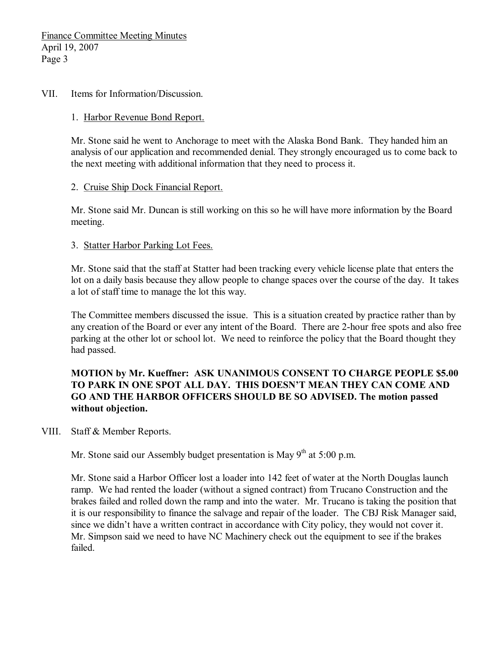#### VII. Items for Information/Discussion.

#### 1. Harbor Revenue Bond Report.

Mr. Stone said he went to Anchorage to meet with the Alaska Bond Bank. They handed him an analysis of our application and recommended denial. They strongly encouraged us to come back to the next meeting with additional information that they need to process it.

### 2. Cruise Ship Dock Financial Report.

Mr. Stone said Mr. Duncan is still working on this so he will have more information by the Board meeting.

### 3. Statter Harbor Parking Lot Fees.

Mr. Stone said that the staff at Statter had been tracking every vehicle license plate that enters the lot on a daily basis because they allow people to change spaces over the course of the day. It takes a lot of staff time to manage the lot this way.

The Committee members discussed the issue. This is a situation created by practice rather than by any creation of the Board or ever any intent of the Board. There are 2-hour free spots and also free parking at the other lot or school lot. We need to reinforce the policy that the Board thought they had passed.

## **MOTION by Mr. Kueffner: ASK UNANIMOUS CONSENT TO CHARGE PEOPLE \$5.00 TO PARK IN ONE SPOT ALL DAY. THIS DOESN'T MEAN THEY CAN COME AND GO AND THE HARBOR OFFICERS SHOULD BE SO ADVISED. The motion passed without objection.**

## VIII. Staff & Member Reports.

Mr. Stone said our Assembly budget presentation is May  $9<sup>th</sup>$  at 5:00 p.m.

Mr. Stone said a Harbor Officer lost a loader into 142 feet of water at the North Douglas launch ramp. We had rented the loader (without a signed contract) from Trucano Construction and the brakes failed and rolled down the ramp and into the water. Mr. Trucano is taking the position that it is our responsibility to finance the salvage and repair of the loader. The CBJ Risk Manager said, since we didn't have a written contract in accordance with City policy, they would not cover it. Mr. Simpson said we need to have NC Machinery check out the equipment to see if the brakes failed.